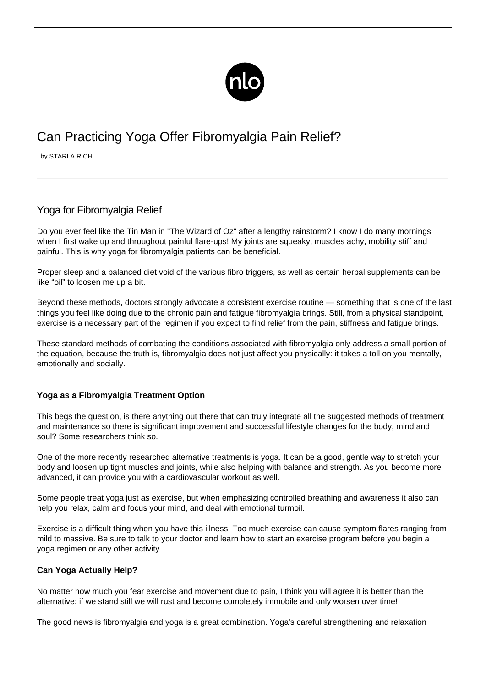

# Can Practicing Yoga Offer Fibromyalgia Pain Relief?

by STARLA RICH

# Yoga for Fibromyalgia Relief

Do you ever feel like the Tin Man in "The Wizard of Oz" after a lengthy rainstorm? I know I do many mornings when I first wake up and throughout painful flare-ups! My joints are squeaky, muscles achy, mobility stiff and painful. This is why yoga for fibromyalgia patients can be beneficial.

Proper sleep and a balanced diet void of the various fibro triggers, as well as certain [herbal supplements](/herbs-fibromyalgia/) can be like "oil" to loosen me up a bit.

Beyond these methods, doctors strongly advocate a consistent [exercise routine](/exercise-for-fibromyalgia/) — something that is one of the last things you feel like doing due to the chronic pain and fatigue fibromyalgia brings. Still, from a physical standpoint, exercise is a necessary part of the regimen if you expect to find relief from the pain, stiffness and fatigue brings.

These standard methods of combating the conditions associated with fibromyalgia only address a small portion of the equation, because the truth is, fibromyalgia does not just affect you physically: it takes a toll on you mentally, emotionally and socially.

# **Yoga as a Fibromyalgia Treatment Option**

This begs the question, is there anything out there that can truly integrate all the suggested methods of treatment and maintenance so there is significant improvement and successful lifestyle changes for the body, mind and soul? Some researchers think so.

One of the more recently researched alternative treatments is yoga. It can be a good, gentle way to stretch your body and loosen up tight muscles and joints, while also helping with balance and strength. As you become more advanced, it can provide you with a cardiovascular workout as well.

Some people treat yoga just as exercise, but when emphasizing controlled breathing and awareness it also can help you relax, calm and focus your mind, and deal with emotional turmoil.

Exercise is a difficult thing when you have this illness. Too much exercise can cause symptom flares ranging from mild to massive. Be sure to talk to your doctor and learn how to start an exercise program before you begin a yoga regimen or any other activity.

# **Can Yoga Actually Help?**

No matter how much you fear exercise and movement due to pain, I think you will agree it is better than the alternative: if we stand still we will rust and become completely immobile and only worsen over time!

The good news is fibromyalgia and yoga is a great combination. Yoga's careful strengthening and relaxation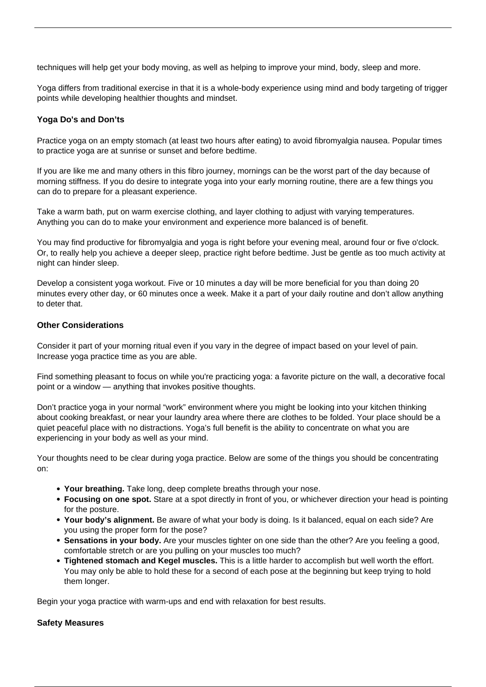techniques will help get your body moving, as well as helping to improve your mind, body, sleep and more.

Yoga differs from traditional exercise in that it is a whole-body experience using mind and body targeting of trigger points while developing healthier thoughts and mindset.

### **Yoga Do's and Don'ts**

Practice yoga on an empty stomach (at least two hours after eating) to avoid [fibromyalgia nausea.](/fibromyalgia-nausea/) Popular times to practice yoga are at sunrise or sunset and before bedtime.

If you are like me and many others in this fibro journey, mornings can be the worst part of the day because of morning stiffness. If you do desire to integrate yoga into your early morning routine, there are a few things you can do to prepare for a pleasant experience.

Take a warm bath, put on warm exercise clothing, and layer clothing to adjust with varying temperatures. Anything you can do to make your environment and experience more balanced is of benefit.

You may find productive for fibromyalgia and yoga is right before your evening meal, around four or five o'clock. Or, to really help you achieve a deeper sleep, practice right before bedtime. Just be gentle as too much activity at night can hinder sleep.

Develop a consistent yoga workout. Five or 10 minutes a day will be more beneficial for you than doing 20 minutes every other day, or 60 minutes once a week. Make it a part of your daily routine and don't allow anything to deter that.

#### **Other Considerations**

Consider it part of your morning ritual even if you vary in the degree of impact based on your level of pain. Increase yoga practice time as you are able.

Find something pleasant to focus on while you're practicing yoga: a favorite picture on the wall, a decorative focal point or a window — anything that invokes positive thoughts.

Don't practice yoga in your normal "work" environment where you might be looking into your kitchen thinking about cooking breakfast, or near your laundry area where there are clothes to be folded. Your place should be a quiet peaceful place with no distractions. Yoga's full benefit is the ability to concentrate on what you are experiencing in your body as well as your mind.

Your thoughts need to be clear during yoga practice. Below are some of the things you should be concentrating on:

- **Your breathing.** Take long, deep complete breaths through your nose.
- **Focusing on one spot.** Stare at a spot directly in front of you, or whichever direction your head is pointing for the posture.
- **Your body's alignment.** Be aware of what your body is doing. Is it balanced, equal on each side? Are you using the proper form for the pose?
- **Sensations in your body.** Are your muscles tighter on one side than the other? Are you feeling a good, comfortable stretch or are you pulling on your muscles too much?
- **Tightened stomach and Kegel muscles.** This is a little harder to accomplish but well worth the effort. You may only be able to hold these for a second of each pose at the beginning but keep trying to hold them longer.

Begin your yoga practice with warm-ups and end with relaxation for best results.

#### **Safety Measures**